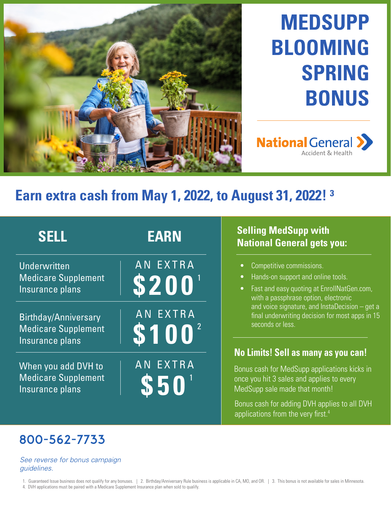

# **MEDSUPP BLOOMING SPRING BONUS**



## **Earn extra cash from May 1, 2022, to August 31, 2022! ³**

| <b>SELL</b>                                                                  | <b>EARN</b>                    | <b>Selling MedSu</b><br><b>National Gene</b>                                                                                                                                                                                                                  |
|------------------------------------------------------------------------------|--------------------------------|---------------------------------------------------------------------------------------------------------------------------------------------------------------------------------------------------------------------------------------------------------------|
| Underwritten<br><b>Medicare Supplement</b><br>Insurance plans                | AN EXTRA<br>\$200              | Competitive con<br>Hands-on suppo<br>Fast and easy qu<br>with a passphra<br>and voice signat<br>final underwritir<br>seconds or less.<br><b>No Limits! Sell a</b><br>Bonus cash for Med!<br>once you hit 3 sales<br>MedSupp sale made<br>Bonus cash for addir |
| <b>Birthday/Anniversary</b><br><b>Medicare Supplement</b><br>Insurance plans | <b>AN EXTRA</b><br><b>S100</b> |                                                                                                                                                                                                                                                               |
| When you add DVH to<br><b>Medicare Supplement</b><br>Insurance plans         | <b>AN EXTRA</b><br>\$50        |                                                                                                                                                                                                                                                               |

### **MedSupp with Ranaral gets you:**

- etitive commissions.
- $\epsilon$ -on support and online tools.
- nd easy quoting at EnrollNatGen.com, passphrase option, electronic  $\overline{\text{piece}}$  signature, and InstaDecision – get a nderwriting decision for most apps in 15

#### **Sell as many as you can!**

for MedSupp applications kicks in t 3 sales and applies to every ale made that month!

for adding DVH applies to all DVH applications from the very first.4

### 800-562-7733

#### *See reverse for bonus campaign guidelines.*

1. Guaranteed Issue business does not qualify for any bonuses. | 2. Birthday/Anniversary Rule business is applicable in CA, MO, and OR. | 3. This bonus is not available for sales in Minnesota.

4. DVH applications must be paired with a Medicare Supplement Insurance plan when sold to qualify.